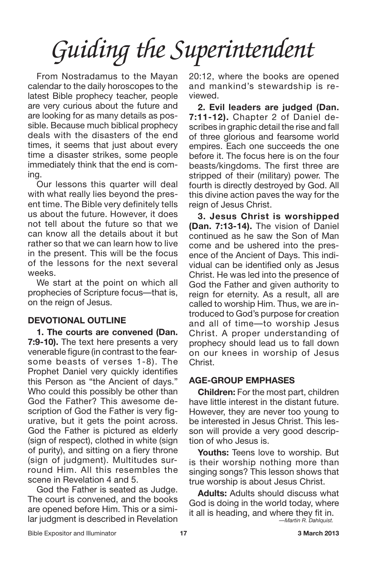From Nostradamus to the Mayan calendar to the daily horoscopes to the latest Bible prophecy teacher, people are very curious about the future and are looking for as many details as possible. Because much biblical prophecy deals with the disasters of the end times, it seems that just about every time a disaster strikes, some people immediately think that the end is coming.

Our lessons this quarter will deal with what really lies beyond the present time. The Bible very definitely tells us about the future. However, it does not tell about the future so that we can know all the details about it but rather so that we can learn how to live in the present. This will be the focus of the lessons for the next several weeks.

We start at the point on which all prophecies of Scripture focus—that is, on the reign of Jesus.

#### **DEVOTIONAL OUTLINE**

**1. The courts are convened (Dan. 7:9-10).** The text here presents a very venerable figure (in contrast to the fearsome beasts of verses 1-8). The Prophet Daniel very quickly identifies this Person as "the Ancient of days." Who could this possibly be other than God the Father? This awesome description of God the Father is very figurative, but it gets the point across. God the Father is pictured as elderly (sign of respect), clothed in white (sign of purity), and sitting on a fiery throne (sign of judgment). Multitudes surround Him. All this resembles the scene in Revelation 4 and 5.

God the Father is seated as Judge. The court is convened, and the books are opened before Him. This or a similar judgment is described in Revelation 20:12, where the books are opened and mankind's stewardship is reviewed.

**2. Evil leaders are judged (Dan. 7:11-12).** Chapter 2 of Daniel describes in graphic detail the rise and fall of three glorious and fearsome world empires. Each one succeeds the one before it. The focus here is on the four beasts/kingdoms. The first three are stripped of their (military) power. The fourth is directly destroyed by God. All this divine action paves the way for the reign of Jesus Christ.

**3. Jesus Christ is worshipped (Dan. 7:13-14).** The vision of Daniel continued as he saw the Son of Man come and be ushered into the presence of the Ancient of Days. This individual can be identified only as Jesus Christ. He was led into the presence of God the Father and given authority to reign for eternity. As a result, all are called to worship Him. Thus, we are introduced to God's purpose for creation and all of time—to worship Jesus Christ. A proper understanding of prophecy should lead us to fall down on our knees in worship of Jesus Christ.

#### **AGE-GROUP EMPHASES**

**Children:** For the most part, children have little interest in the distant future. However, they are never too young to be interested in Jesus Christ. This lesson will provide a very good description of who Jesus is.

**Youths:** Teens love to worship. But is their worship nothing more than singing songs? This lesson shows that true worship is about Jesus Christ.

**Adults:** Adults should discuss what God is doing in the world today, where it all is heading, and where they fit in. *—Martin R. Dahlquist.*

Bible Expositor and Illuminator **17 3 March 2013**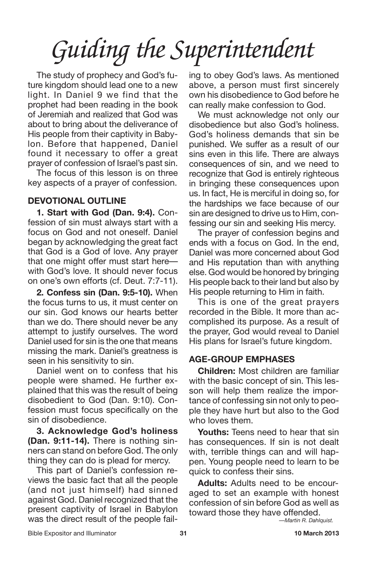The study of prophecy and God's future kingdom should lead one to a new light. In Daniel 9 we find that the prophet had been reading in the book of Jeremiah and realized that God was about to bring about the deliverance of His people from their captivity in Babylon. Before that happened, Daniel found it necessary to offer a great prayer of confession of Israel's past sin.

The focus of this lesson is on three key aspects of a prayer of confession.

#### **DEVOTIONAL OUTLINE**

**1. Start with God (Dan. 9:4).** Confession of sin must always start with a focus on God and not oneself. Daniel began by acknowledging the great fact that God is a God of love. Any prayer that one might offer must start here with God's love. It should never focus on one's own efforts (cf. Deut. 7:7-11).

**2. Confess sin (Dan. 9:5-10).** When the focus turns to us, it must center on our sin. God knows our hearts better than we do. There should never be any attempt to justify ourselves. The word Daniel used for sin is the one that means missing the mark. Daniel's greatness is seen in his sensitivity to sin.

Daniel went on to confess that his people were shamed. He further explained that this was the result of being disobedient to God (Dan. 9:10). Confession must focus specifically on the sin of disobedience.

**3. Acknowledge God's holiness (Dan. 9:11-14).** There is nothing sinners can stand on before God. The only thing they can do is plead for mercy.

This part of Daniel's confession reviews the basic fact that all the people (and not just himself) had sinned against God. Daniel recognized that the present captivity of Israel in Babylon was the direct result of the people failing to obey God's laws. As mentioned above, a person must first sincerely own his disobedience to God before he can really make confession to God.

We must acknowledge not only our disobedience but also God's holiness. God's holiness demands that sin be punished. We suffer as a result of our sins even in this life. There are always consequences of sin, and we need to recognize that God is entirely righteous in bringing these consequences upon us. In fact, He is merciful in doing so, for the hardships we face because of our sin are designed to drive us to Him, confessing our sin and seeking His mercy.

The prayer of confession begins and ends with a focus on God. In the end, Daniel was more concerned about God and His reputation than with anything else. God would be honored by bringing His people back to their land but also by His people returning to Him in faith.

This is one of the great prayers recorded in the Bible. It more than accomplished its purpose. As a result of the prayer, God would reveal to Daniel His plans for Israel's future kingdom.

### **AGE-GROUP EMPHASES**

**Children:** Most children are familiar with the basic concept of sin. This lesson will help them realize the importance of confessing sin not only to people they have hurt but also to the God who loves them.

**Youths:** Teens need to hear that sin has consequences. If sin is not dealt with, terrible things can and will happen. Young people need to learn to be quick to confess their sins.

**Adults:** Adults need to be encouraged to set an example with honest confession of sin before God as well as toward those they have offended.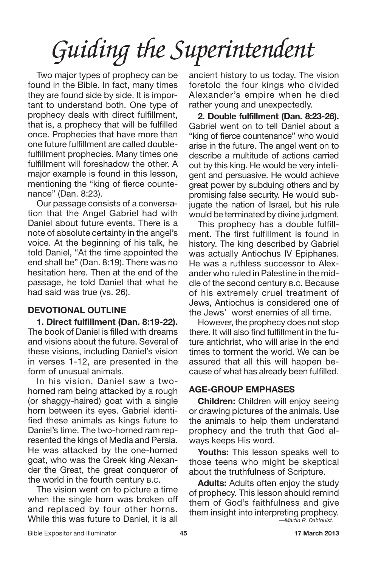Two major types of prophecy can be found in the Bible. In fact, many times they are found side by side. It is important to understand both. One type of prophecy deals with direct fulfillment, that is, a prophecy that will be fulfilled once. Prophecies that have more than one future fulfillment are called doublefulfillment prophecies. Many times one fulfillment will foreshadow the other. A major example is found in this lesson, mentioning the "king of fierce countenance" (Dan. 8:23).

Our passage consists of a conversation that the Angel Gabriel had with Daniel about future events. There is a note of absolute certainty in the angel's voice. At the beginning of his talk, he told Daniel, "At the time appointed the end shall be" (Dan. 8:19). There was no hesitation here. Then at the end of the passage, he told Daniel that what he had said was true (vs. 26).

### **DEVOTIONAL OUTLINE**

**1. Direct fulfillment (Dan. 8:19-22).** The book of Daniel is filled with dreams and visions about the future. Several of these visions, including Daniel's vision in verses 1-12, are presented in the form of unusual animals.

In his vision, Daniel saw a twohorned ram being attacked by a rough (or shaggy-haired) goat with a single horn between its eyes. Gabriel identified these animals as kings future to Daniel's time. The two-horned ram represented the kings of Media and Persia. He was attacked by the one-horned goat, who was the Greek king Alexander the Great, the great conqueror of the world in the fourth century B.C.

The vision went on to picture a time when the single horn was broken off and replaced by four other horns. While this was future to Daniel, it is all

ancient history to us today. The vision foretold the four kings who divided Alexander's empire when he died rather young and unexpectedly.

**2. Double fulfillment (Dan. 8:23-26).** Gabriel went on to tell Daniel about a "king of fierce countenance" who would arise in the future. The angel went on to describe a multitude of actions carried out by this king. He would be very intelligent and persuasive. He would achieve great power by subduing others and by promising false security. He would subjugate the nation of Israel, but his rule would be terminated by divine judgment.

This prophecy has a double fulfillment. The first fulfillment is found in history. The king described by Gabriel was actually Antiochus IV Epiphanes. He was a ruthless successor to Alexander who ruled in Palestine in the middle of the second century B.C. Because of his extremely cruel treatment of Jews, Antiochus is considered one of the Jews' worst enemies of all time.

However, the prophecy does not stop there. It will also find fulfillment in the future antichrist, who will arise in the end times to torment the world. We can be assured that all this will happen because of what has already been fulfilled.

### **AGE-GROUP EMPHASES**

**Children:** Children will enjoy seeing or drawing pictures of the animals. Use the animals to help them understand prophecy and the truth that God always keeps His word.

**Youths:** This lesson speaks well to those teens who might be skeptical about the truthfulness of Scripture.

**Adults:** Adults often enjoy the study of prophecy. This lesson should remind them of God's faithfulness and give them insight into interpreting prophecy. *—Martin R. Dahlquist.*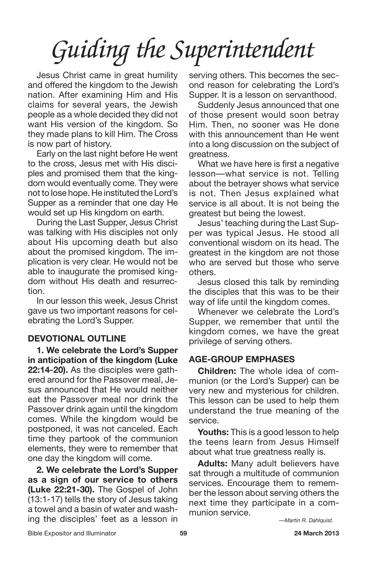Jesus Christ came in great humility and offered the kingdom to the Jewish nation. After examining Him and His claims for several years, the Jewish people as a whole decided they did not want His version of the kingdom. So they made plans to kill Him. The Cross is now part of history.

Early on the last night before He went to the cross, Jesus met with His disciples and promised them that the kingdom would eventually come. They were not to lose hope. He instituted the Lord's Supper as a reminder that one day He would set up His kingdom on earth.

During the Last Supper, Jesus Christ was talking with His disciples not only about His upcoming death but also about the promised kingdom. The implication is very clear. He would not be able to inaugurate the promised kingdom without His death and resurrection.

In our lesson this week, Jesus Christ gave us two important reasons for celebrating the Lord's Supper.

### **DEVOTIONAL OUTLINE**

**1. We celebrate the Lord's Supper in anticipation of the kingdom (Luke 22:14-20).** As the disciples were gathered around for the Passover meal, Jesus announced that He would neither eat the Passover meal nor drink the Passover drink again until the kingdom comes. While the kingdom would be postponed, it was not canceled. Each time they partook of the communion elements, they were to remember that one day the kingdom will come.

**2. We celebrate the Lord's Supper as a sign of our service to others (Luke 22:21-30).** The Gospel of John (13:1-17) tells the story of Jesus taking a towel and a basin of water and washing the disciples' feet as a lesson in

serving others. This becomes the second reason for celebrating the Lord's Supper. It is a lesson on servanthood.

Suddenly Jesus announced that one of those present would soon betray Him. Then, no sooner was He done with this announcement than He went into a long discussion on the subject of greatness.

What we have here is first a negative lesson—what service is not. Telling about the betrayer shows what service is not. Then Jesus explained what service is all about. It is not being the greatest but being the lowest.

Jesus' teaching during the Last Supper was typical Jesus. He stood all conventional wisdom on its head. The greatest in the kingdom are not those who are served but those who serve others.

Jesus closed this talk by reminding the disciples that this was to be their way of life until the kingdom comes.

Whenever we celebrate the Lord's Supper, we remember that until the kingdom comes, we have the great privilege of serving others.

#### **AGE-GROUP EMPHASES**

**Children:** The whole idea of communion (or the Lord's Supper) can be very new and mysterious for children. This lesson can be used to help them understand the true meaning of the service.

**Youths:** This is a good lesson to help the teens learn from Jesus Himself about what true greatness really is.

**Adults:** Many adult believers have sat through a multitude of communion services. Encourage them to remember the lesson about serving others the next time they participate in a communion service.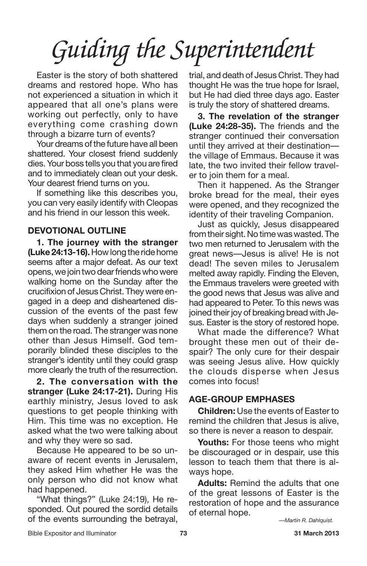Easter is the story of both shattered dreams and restored hope. Who has not experienced a situation in which it appeared that all one's plans were working out perfectly, only to have everything come crashing down through a bizarre turn of events?

Your dreams of the future have all been shattered. Your closest friend suddenly dies.Your boss tells you that you are fired and to immediately clean out your desk. Your dearest friend turns on you.

If something like this describes you, you can very easily identify with Cleopas and his friend in our lesson this week.

#### **DEVOTIONAL OUTLINE**

**1. The journey with the stranger (Luke 24:13-16).** How long the ride home seems after a major defeat. As our text opens, we join two dear friends who were walking home on the Sunday after the crucifixion of Jesus Christ. Theywere engaged in a deep and disheartened discussion of the events of the past few days when suddenly a stranger joined them on the road. The stranger was none other than Jesus Himself. God temporarily blinded these disciples to the stranger's identity until they could grasp more clearly the truth of the resurrection.

**2. The conversation with the stranger (Luke 24:17-21).** During His earthly ministry, Jesus loved to ask questions to get people thinking with Him. This time was no exception. He asked what the two were talking about and why they were so sad.

Because He appeared to be so unaware of recent events in Jerusalem, they asked Him whether He was the only person who did not know what had happened.

"What things?" (Luke 24:19), He responded. Out poured the sordid details of the events surrounding the betrayal, trial, and death of Jesus Christ. They had thought He was the true hope for Israel, but He had died three days ago. Easter is truly the story of shattered dreams.

**3. The revelation of the stranger (Luke 24:28-35).** The friends and the stranger continued their conversation until they arrived at their destination the village of Emmaus. Because it was late, the two invited their fellow traveler to join them for a meal.

Then it happened. As the Stranger broke bread for the meal, their eyes were opened, and they recognized the identity of their traveling Companion.

Just as quickly, Jesus disappeared from their sight. No time was wasted. The two men returned to Jerusalem with the great news—Jesus is alive! He is not dead! The seven miles to Jerusalem melted away rapidly. Finding the Eleven, the Emmaus travelers were greeted with the good news that Jesus was alive and had appeared to Peter. To this news was joined their joy of breaking bread with Jesus. Easter is the story of restored hope.

What made the difference? What brought these men out of their despair? The only cure for their despair was seeing Jesus alive. How quickly the clouds disperse when Jesus comes into focus!

### **AGE-GROUP EMPHASES**

**Children:** Use the events of Easter to remind the children that Jesus is alive, so there is never a reason to despair.

**Youths:** For those teens who might be discouraged or in despair, use this lesson to teach them that there is always hope.

**Adults:** Remind the adults that one of the great lessons of Easter is the restoration of hope and the assurance of eternal hope.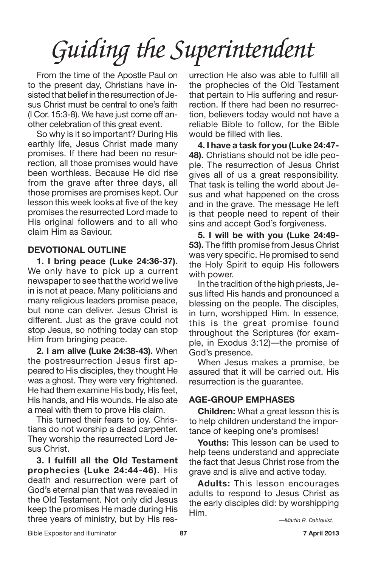From the time of the Apostle Paul on to the present day, Christians have insisted that belief in the resurrection of Jesus Christ must be central to one's faith (I Cor. 15:3-8). We have just come off another celebration of this great event.

So why is it so important? During His earthly life, Jesus Christ made many promises. If there had been no resurrection, all those promises would have been worthless. Because He did rise from the grave after three days, all those promises are promises kept. Our lesson this week looks at five of the key promises the resurrected Lord made to His original followers and to all who claim Him as Saviour.

### **DEVOTIONAL OUTLINE**

**1. I bring peace (Luke 24:36-37).** We only have to pick up a current newspaper to see that the world we live in is not at peace. Many politicians and many religious leaders promise peace, but none can deliver. Jesus Christ is different. Just as the grave could not stop Jesus, so nothing today can stop Him from bringing peace.

**2. I am alive (Luke 24:38-43).** When the postresurrection Jesus first appeared to His disciples, they thought He was a ghost. They were very frightened. He had them examine His body, His feet, His hands, and His wounds. He also ate a meal with them to prove His claim.

This turned their fears to joy. Christians do not worship a dead carpenter. They worship the resurrected Lord Jesus Christ.

**3. I fulfill all the Old Testament prophecies (Luke 24:44-46).** His death and resurrection were part of God's eternal plan that was revealed in the Old Testament. Not only did Jesus keep the promises He made during His three years of ministry, but by His resurrection He also was able to fulfill all the prophecies of the Old Testament that pertain to His suffering and resurrection. If there had been no resurrection, believers today would not have a reliable Bible to follow, for the Bible would be filled with lies.

**4. I have a task for you (Luke 24:47- 48).** Christians should not be idle people. The resurrection of Jesus Christ gives all of us a great responsibility. That task is telling the world about Jesus and what happened on the cross and in the grave. The message He left is that people need to repent of their sins and accept God's forgiveness.

**5. I will be with you (Luke 24:49- 53).** The fifth promise from Jesus Christ was very specific. He promised to send the Holy Spirit to equip His followers with power.

In the tradition of the high priests, Jesus lifted His hands and pronounced a blessing on the people. The disciples, in turn, worshipped Him. In essence, this is the great promise found throughout the Scriptures (for example, in Exodus 3:12)—the promise of God's presence.

When Jesus makes a promise, be assured that it will be carried out. His resurrection is the guarantee.

#### **AGE-GROUP EMPHASES**

**Children:** What a great lesson this is to help children understand the importance of keeping one's promises!

**Youths:** This lesson can be used to help teens understand and appreciate the fact that Jesus Christ rose from the grave and is alive and active today.

**Adults:** This lesson encourages adults to respond to Jesus Christ as the early disciples did: by worshipping Him.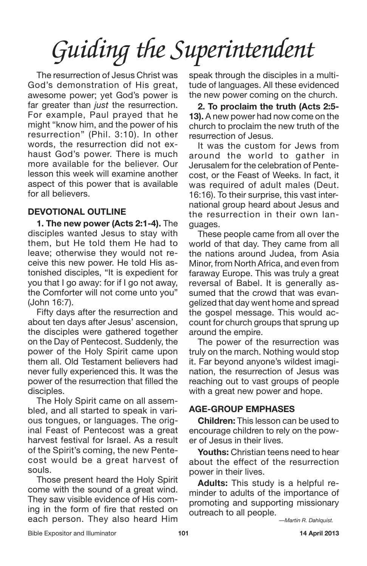The resurrection of Jesus Christ was God's demonstration of His great, awesome power; yet God's power is far greater than *just* the resurrection. For example, Paul prayed that he might "know him, and the power of his resurrection" (Phil. 3:10). In other words, the resurrection did not exhaust God's power. There is much more available for the believer. Our lesson this week will examine another aspect of this power that is available for all believers.

### **DEVOTIONAL OUTLINE**

**1. The new power (Acts 2:1-4).** The disciples wanted Jesus to stay with them, but He told them He had to leave; otherwise they would not receive this new power. He told His astonished disciples, "It is expedient for you that I go away: for if I go not away, the Comforter will not come unto you" (John 16:7).

Fifty days after the resurrection and about ten days after Jesus' ascension, the disciples were gathered together on the Day of Pentecost. Suddenly, the power of the Holy Spirit came upon them all. Old Testament believers had never fully experienced this. It was the power of the resurrection that filled the disciples.

The Holy Spirit came on all assembled, and all started to speak in various tongues, or languages. The original Feast of Pentecost was a great harvest festival for Israel. As a result of the Spirit's coming, the new Pentecost would be a great harvest of souls.

Those present heard the Holy Spirit come with the sound of a great wind. They saw visible evidence of His coming in the form of fire that rested on each person. They also heard Him

speak through the disciples in a multitude of languages. All these evidenced the new power coming on the church.

**2. To proclaim the truth (Acts 2:5- 13).** A new power had now come on the church to proclaim the new truth of the resurrection of Jesus.

It was the custom for Jews from around the world to gather in Jerusalem for the celebration of Pentecost, or the Feast of Weeks. In fact, it was required of adult males (Deut. 16:16). To their surprise, this vast international group heard about Jesus and the resurrection in their own languages.

These people came from all over the world of that day. They came from all the nations around Judea, from Asia Minor, from North Africa, and even from faraway Europe. This was truly a great reversal of Babel. It is generally assumed that the crowd that was evangelized that day went home and spread the gospel message. This would account for church groups that sprung up around the empire.

The power of the resurrection was truly on the march. Nothing would stop it. Far beyond anyone's wildest imagination, the resurrection of Jesus was reaching out to vast groups of people with a great new power and hope.

#### **AGE-GROUP EMPHASES**

**Children:** This lesson can be used to encourage children to rely on the power of Jesus in their lives.

**Youths:** Christian teens need to hear about the effect of the resurrection power in their lives.

**Adults:** This study is a helpful reminder to adults of the importance of promoting and supporting missionary outreach to all people.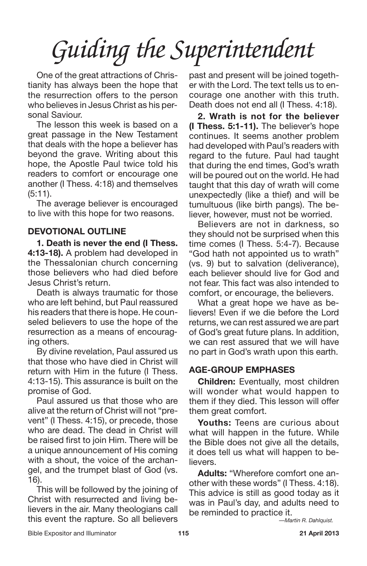One of the great attractions of Christianity has always been the hope that the resurrection offers to the person who believes in Jesus Christ as his personal Saviour.

The lesson this week is based on a great passage in the New Testament that deals with the hope a believer has beyond the grave. Writing about this hope, the Apostle Paul twice told his readers to comfort or encourage one another (I Thess. 4:18) and themselves (5:11).

The average believer is encouraged to live with this hope for two reasons.

#### **DEVOTIONAL OUTLINE**

**1. Death is never the end (I Thess. 4:13-18).** A problem had developed in the Thessalonian church concerning those believers who had died before Jesus Christ's return.

Death is always traumatic for those who are left behind, but Paul reassured his readers that there is hope. He counseled believers to use the hope of the resurrection as a means of encouraging others.

By divine revelation, Paul assured us that those who have died in Christ will return with Him in the future (I Thess. 4:13-15). This assurance is built on the promise of God.

Paul assured us that those who are alive at the return of Christ will not "prevent" (I Thess. 4:15), or precede, those who are dead. The dead in Christ will be raised first to join Him. There will be a unique announcement of His coming with a shout, the voice of the archangel, and the trumpet blast of God (vs. 16).

This will be followed by the joining of Christ with resurrected and living believers in the air. Many theologians call this event the rapture. So all believers past and present will be joined together with the Lord. The text tells us to encourage one another with this truth. Death does not end all (I Thess. 4:18).

**2. Wrath is not for the believer (I Thess. 5:1-11).** The believer's hope continues. It seems another problem had developed with Paul's readers with regard to the future. Paul had taught that during the end times, God's wrath will be poured out on the world. He had taught that this day of wrath will come unexpectedly (like a thief) and will be tumultuous (like birth pangs). The believer, however, must not be worried.

Believers are not in darkness, so they should not be surprised when this time comes (I Thess. 5:4-7). Because "God hath not appointed us to wrath" (vs. 9) but to salvation (deliverance), each believer should live for God and not fear. This fact was also intended to comfort, or encourage, the believers.

What a great hope we have as believers! Even if we die before the Lord returns, we can rest assured we are part of God's great future plans. In addition, we can rest assured that we will have no part in God's wrath upon this earth.

### **AGE-GROUP EMPHASES**

**Children:** Eventually, most children will wonder what would happen to them if they died. This lesson will offer them great comfort.

**Youths:** Teens are curious about what will happen in the future. While the Bible does not give all the details, it does tell us what will happen to believers.

**Adults:** "Wherefore comfort one another with these words" (I Thess. 4:18). This advice is still as good today as it was in Paul's day, and adults need to be reminded to practice it.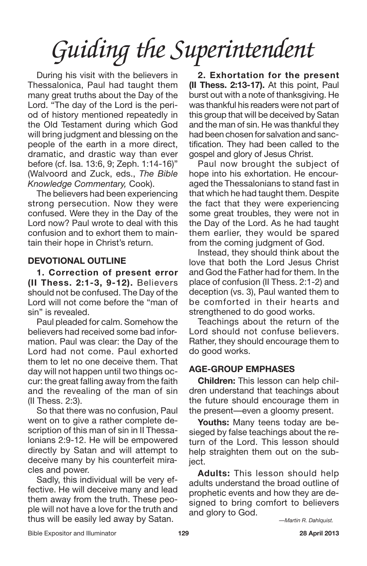During his visit with the believers in Thessalonica, Paul had taught them many great truths about the Day of the Lord. "The day of the Lord is the period of history mentioned repeatedly in the Old Testament during which God will bring judgment and blessing on the people of the earth in a more direct, dramatic, and drastic way than ever before (cf. Isa. 13:6, 9; Zeph. 1:14-16)" (Walvoord and Zuck, eds., *The Bible Knowledge Commentary,* Cook).

The believers had been experiencing strong persecution. Now they were confused. Were they in the Day of the Lord now? Paul wrote to deal with this confusion and to exhort them to maintain their hope in Christ's return.

#### **DEVOTIONAL OUTLINE**

**1. Correction of present error (II Thess. 2:1-3, 9-12).** Believers should not be confused. The Day of the Lord will not come before the "man of sin" is revealed.

Paul pleaded for calm. Somehow the believers had received some bad information. Paul was clear: the Day of the Lord had not come. Paul exhorted them to let no one deceive them. That day will not happen until two things occur: the great falling away from the faith and the revealing of the man of sin (II Thess. 2:3).

So that there was no confusion, Paul went on to give a rather complete description of this man of sin in II Thessalonians 2:9-12. He will be empowered directly by Satan and will attempt to deceive many by his counterfeit miracles and power.

Sadly, this individual will be very effective. He will deceive many and lead them away from the truth. These people will not have a love for the truth and thus will be easily led away by Satan.

**2. Exhortation for the present (II Thess. 2:13-17).** At this point, Paul burst out with a note of thanksgiving. He was thankful his readers were not part of this group that will be deceived by Satan and the man of sin. He was thankful they had been chosen for salvation and sanctification. They had been called to the gospel and glory of Jesus Christ.

Paul now brought the subject of hope into his exhortation. He encouraged the Thessalonians to stand fast in that which he had taught them. Despite the fact that they were experiencing some great troubles, they were not in the Day of the Lord. As he had taught them earlier, they would be spared from the coming judgment of God.

Instead, they should think about the love that both the Lord Jesus Christ and God the Father had for them. In the place of confusion (II Thess. 2:1-2) and deception (vs. 3), Paul wanted them to be comforted in their hearts and strengthened to do good works.

Teachings about the return of the Lord should not confuse believers. Rather, they should encourage them to do good works.

#### **AGE-GROUP EMPHASES**

**Children:** This lesson can help children understand that teachings about the future should encourage them in the present—even a gloomy present.

**Youths:** Many teens today are besieged by false teachings about the return of the Lord. This lesson should help straighten them out on the subject.

**Adults:** This lesson should help adults understand the broad outline of prophetic events and how they are designed to bring comfort to believers and glory to God.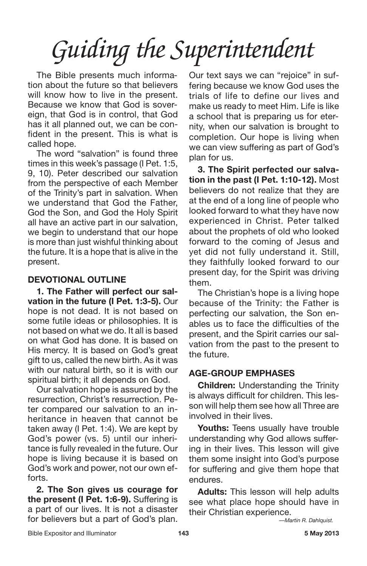The Bible presents much information about the future so that believers will know how to live in the present. Because we know that God is sovereign, that God is in control, that God has it all planned out, we can be confident in the present. This is what is called hope.

The word "salvation" is found three times in this week's passage (I Pet. 1:5, 9, 10). Peter described our salvation from the perspective of each Member of the Trinity's part in salvation. When we understand that God the Father, God the Son, and God the Holy Spirit all have an active part in our salvation, we begin to understand that our hope is more than just wishful thinking about the future. It is a hope that is alive in the present.

### **DEVOTIONAL OUTLINE**

**1. The Father will perfect our salvation in the future (I Pet. 1:3-5).** Our hope is not dead. It is not based on some futile ideas or philosophies. It is not based on what we do. It all is based on what God has done. It is based on His mercy. It is based on God's great gift to us, called the new birth. As it was with our natural birth, so it is with our spiritual birth; it all depends on God.

Our salvation hope is assured by the resurrection, Christ's resurrection. Peter compared our salvation to an inheritance in heaven that cannot be taken away (I Pet. 1:4). We are kept by God's power (vs. 5) until our inheritance is fully revealed in the future. Our hope is living because it is based on God's work and power, not our own efforts.

**2. The Son gives us courage for the present (I Pet. 1:6-9).** Suffering is a part of our lives. It is not a disaster for believers but a part of God's plan. Our text says we can "rejoice" in suffering because we know God uses the trials of life to define our lives and make us ready to meet Him. Life is like a school that is preparing us for eternity, when our salvation is brought to completion. Our hope is living when we can view suffering as part of God's plan for us.

**3. The Spirit perfected our salvation in the past (I Pet. 1:10-12).** Most believers do not realize that they are at the end of a long line of people who looked forward to what they have now experienced in Christ. Peter talked about the prophets of old who looked forward to the coming of Jesus and yet did not fully understand it. Still, they faithfully looked forward to our present day, for the Spirit was driving them.

The Christian's hope is a living hope because of the Trinity: the Father is perfecting our salvation, the Son enables us to face the difficulties of the present, and the Spirit carries our salvation from the past to the present to the future.

### **AGE-GROUP EMPHASES**

**Children:** Understanding the Trinity is always difficult for children. This lesson will help them see how all Three are involved in their lives.

Youths: Teens usually have trouble understanding why God allows suffering in their lives. This lesson will give them some insight into God's purpose for suffering and give them hope that endures.

**Adults:** This lesson will help adults see what place hope should have in their Christian experience.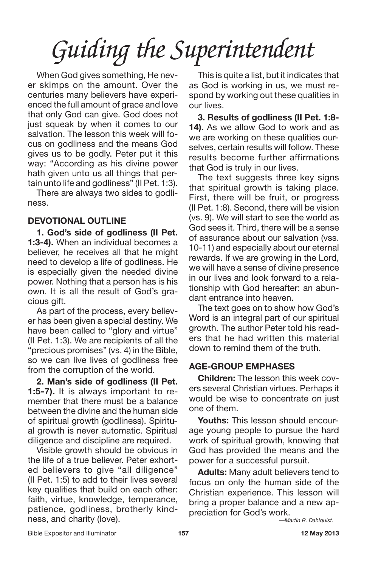When God gives something, He never skimps on the amount. Over the centuries many believers have experienced the full amount of grace and love that only God can give. God does not just squeak by when it comes to our salvation. The lesson this week will focus on godliness and the means God gives us to be godly. Peter put it this way: "According as his divine power hath given unto us all things that pertain unto life and godliness" (II Pet. 1:3).

There are always two sides to godliness.

### **DEVOTIONAL OUTLINE**

**1. God's side of godliness (II Pet. 1:3-4).** When an individual becomes a believer, he receives all that he might need to develop a life of godliness. He is especially given the needed divine power. Nothing that a person has is his own. It is all the result of God's gracious gift.

As part of the process, every believer has been given a special destiny. We have been called to "glory and virtue" (II Pet. 1:3). We are recipients of all the "precious promises" (vs. 4) in the Bible, so we can live lives of godliness free from the corruption of the world.

**2. Man's side of godliness (II Pet. 1:5-7).** It is always important to remember that there must be a balance between the divine and the human side of spiritual growth (godliness). Spiritual growth is never automatic. Spiritual diligence and discipline are required.

Visible growth should be obvious in the life of a true believer. Peter exhorted believers to give "all diligence" (II Pet. 1:5) to add to their lives several key qualities that build on each other: faith, virtue, knowledge, temperance, patience, godliness, brotherly kindness, and charity (love).

This is quite a list, but it indicates that as God is working in us, we must respond by working out these qualities in our lives.

**3. Results of godliness (II Pet. 1:8- 14).** As we allow God to work and as we are working on these qualities ourselves, certain results will follow. These results become further affirmations that God is truly in our lives.

The text suggests three key signs that spiritual growth is taking place. First, there will be fruit, or progress (II Pet. 1:8). Second, there will be vision (vs. 9). We will start to see the world as God sees it. Third, there will be a sense of assurance about our salvation (vss. 10-11) and especially about our eternal rewards. If we are growing in the Lord, we will have a sense of divine presence in our lives and look forward to a relationship with God hereafter: an abundant entrance into heaven.

The text goes on to show how God's Word is an integral part of our spiritual growth. The author Peter told his readers that he had written this material down to remind them of the truth.

### **AGE-GROUP EMPHASES**

**Children:** The lesson this week covers several Christian virtues. Perhaps it would be wise to concentrate on just one of them.

**Youths:** This lesson should encourage young people to pursue the hard work of spiritual growth, knowing that God has provided the means and the power for a successful pursuit.

**Adults:** Many adult believers tend to focus on only the human side of the Christian experience. This lesson will bring a proper balance and a new appreciation for God's work.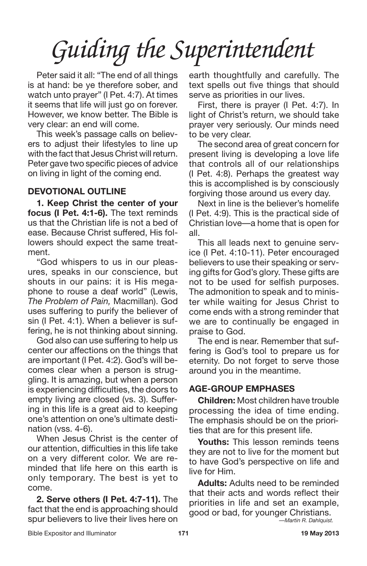Peter said it all: "The end of all things is at hand: be ye therefore sober, and watch unto prayer" (I Pet. 4:7). At times it seems that life will just go on forever. However, we know better. The Bible is very clear: an end will come.

This week's passage calls on believers to adjust their lifestyles to line up with the fact that Jesus Christ will return. Peter gave two specific pieces of advice on living in light of the coming end.

#### **DEVOTIONAL OUTLINE**

**1. Keep Christ the center of your focus (I Pet. 4:1-6).** The text reminds us that the Christian life is not a bed of ease. Because Christ suffered, His followers should expect the same treatment.

"God whispers to us in our pleasures, speaks in our conscience, but shouts in our pains: it is His megaphone to rouse a deaf world" (Lewis, *The Problem of Pain,* Macmillan). God uses suffering to purify the believer of sin (I Pet. 4:1). When a believer is suffering, he is not thinking about sinning.

God also can use suffering to help us center our affections on the things that are important (I Pet. 4:2). God's will becomes clear when a person is struggling. It is amazing, but when a person is experiencing difficulties, the doors to empty living are closed (vs. 3). Suffering in this life is a great aid to keeping one's attention on one's ultimate destination (vss. 4-6).

When Jesus Christ is the center of our attention, difficulties in this life take on a very different color. We are reminded that life here on this earth is only temporary. The best is yet to come.

**2. Serve others (I Pet. 4:7-11).** The fact that the end is approaching should spur believers to live their lives here on earth thoughtfully and carefully. The text spells out five things that should serve as priorities in our lives.

First, there is prayer (I Pet. 4:7). In light of Christ's return, we should take prayer very seriously. Our minds need to be very clear.

The second area of great concern for present living is developing a love life that controls all of our relationships (I Pet. 4:8). Perhaps the greatest way this is accomplished is by consciously forgiving those around us every day.

Next in line is the believer's homelife (I Pet. 4:9). This is the practical side of Christian love—a home that is open for all.

This all leads next to genuine service (I Pet. 4:10-11). Peter encouraged believers to use their speaking or serving gifts for God's glory. These gifts are not to be used for selfish purposes. The admonition to speak and to minister while waiting for Jesus Christ to come ends with a strong reminder that we are to continually be engaged in praise to God.

The end is near. Remember that suffering is God's tool to prepare us for eternity. Do not forget to serve those around you in the meantime.

### **AGE-GROUP EMPHASES**

**Children:** Most children have trouble processing the idea of time ending. The emphasis should be on the priorities that are for this present life.

**Youths:** This lesson reminds teens they are not to live for the moment but to have God's perspective on life and live for Him.

**Adults:** Adults need to be reminded that their acts and words reflect their priorities in life and set an example, good or bad, for younger Christians.